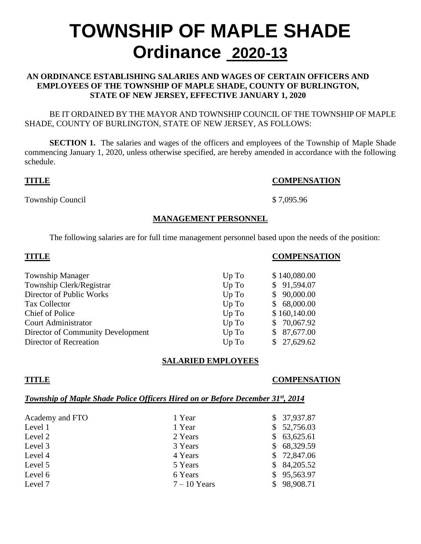# **TOWNSHIP OF MAPLE SHADE Ordinance 2020-13**

#### **AN ORDINANCE ESTABLISHING SALARIES AND WAGES OF CERTAIN OFFICERS AND EMPLOYEES OF THE TOWNSHIP OF MAPLE SHADE, COUNTY OF BURLINGTON, STATE OF NEW JERSEY, EFFECTIVE JANUARY 1, 2020**

BE IT ORDAINED BY THE MAYOR AND TOWNSHIP COUNCIL OF THE TOWNSHIP OF MAPLE SHADE, COUNTY OF BURLINGTON, STATE OF NEW JERSEY, AS FOLLOWS:

**SECTION 1.** The salaries and wages of the officers and employees of the Township of Maple Shade commencing January 1, 2020, unless otherwise specified, are hereby amended in accordance with the following schedule.

#### **TITLE COMPENSATION**

Township Council \$ 7,095.96

#### **MANAGEMENT PERSONNEL**

The following salaries are for full time management personnel based upon the needs of the position:

| <b>TITLE</b>                      |       | <b>COMPENSATION</b> |  |  |
|-----------------------------------|-------|---------------------|--|--|
| <b>Township Manager</b>           | Up To | \$140,080.00        |  |  |
| Township Clerk/Registrar          | Up To | \$91,594.07         |  |  |
| Director of Public Works          | Up To | \$90,000.00         |  |  |
| <b>Tax Collector</b>              | Up To | \$68,000.00         |  |  |
| Chief of Police                   | Up To | \$160,140.00        |  |  |
| <b>Court Administrator</b>        | Up To | \$70,067.92         |  |  |
| Director of Community Development | Up To | \$87,677.00         |  |  |
| Director of Recreation            | Up To | \$27,629.62         |  |  |

### **SALARIED EMPLOYEES**

### **TITLE COMPENSATION**

### *Township of Maple Shade Police Officers Hired on or Before December 31st, 2014*

| Academy and FTO | 1 Year         | \$37,937.87 |
|-----------------|----------------|-------------|
| Level 1         | 1 Year         | \$52,756.03 |
| Level 2         | 2 Years        | \$63,625.61 |
| Level 3         | 3 Years        | \$68,329.59 |
| Level 4         | 4 Years        | \$72,847.06 |
| Level 5         | 5 Years        | \$84,205.52 |
| Level 6         | 6 Years        | \$95,563.97 |
| Level 7         | $7 - 10$ Years | \$98,908.71 |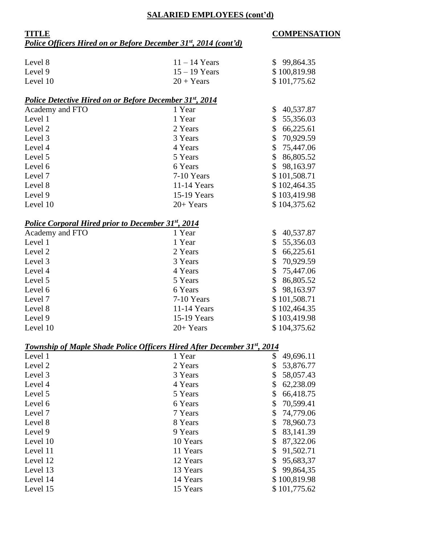#### **SALARIED EMPLOYEES (cont'd)**

### **TITLE COMPENSATION** *Police Officers Hired on or Before December 31st , 2014 (cont'd)*

| Level 8                                                                        | $11 - 14$ Years | \$99,864.35                |
|--------------------------------------------------------------------------------|-----------------|----------------------------|
| Level 9                                                                        | $15 - 19$ Years | \$100,819.98               |
| Level 10                                                                       | $20 + Years$    | \$101,775.62               |
| <b>Police Detective Hired on or Before December 31st, 2014</b>                 |                 |                            |
| Academy and FTO                                                                | 1 Year          | \$<br>40,537.87            |
| Level 1                                                                        | 1 Year          | \$<br>55,356.03            |
| Level 2                                                                        | 2 Years         | \$<br>66,225.61            |
| Level 3                                                                        | 3 Years         | \$<br>70,929.59            |
| Level 4                                                                        | 4 Years         | \$<br>75,447.06            |
| Level 5                                                                        | 5 Years         | \$<br>86,805.52            |
| Level 6                                                                        | 6 Years         | \$<br>98,163.97            |
| Level 7                                                                        | 7-10 Years      | \$101,508.71               |
| Level 8                                                                        | 11-14 Years     | \$102,464.35               |
| Level 9                                                                        | 15-19 Years     | \$103,419.98               |
| Level 10                                                                       | $20+Years$      | \$104,375.62               |
| <b>Police Corporal Hired prior to December 31st, 2014</b>                      |                 |                            |
| Academy and FTO                                                                | 1 Year          | \$<br>40,537.87            |
| Level 1                                                                        | 1 Year          | \$<br>55,356.03            |
| Level 2                                                                        | 2 Years         | \$<br>66,225.61            |
| Level 3                                                                        | 3 Years         | \$<br>70,929.59            |
| Level 4                                                                        | 4 Years         | \$<br>75,447.06            |
| Level 5                                                                        | 5 Years         | \$<br>86,805.52            |
| Level 6                                                                        | 6 Years         | $\mathcal{S}$<br>98,163.97 |
| Level 7                                                                        | 7-10 Years      | \$101,508.71               |
| Level 8                                                                        | 11-14 Years     | \$102,464.35               |
| Level 9                                                                        | 15-19 Years     | \$103,419.98               |
| Level 10                                                                       | 20+ Years       | \$104,375.62               |
| <b>Township of Maple Shade Police Officers Hired After December 31st, 2014</b> |                 |                            |
| Level 1                                                                        | 1 Year          | 49,696.11<br>$\mathbb{S}$  |
| Level 2                                                                        | 2 Years         | 53,876.77<br>\$            |
| Level 3                                                                        | 3 Years         | \$<br>58,057.43            |
| Level 4                                                                        | 4 Years         | \$<br>62,238.09            |
| Level 5                                                                        | 5 Years         | \$<br>66,418.75            |
| Level 6                                                                        | 6 Years         | 70,599.41<br>\$            |
| Level 7                                                                        | 7 Years         | \$<br>74,779.06            |
| Level 8                                                                        | 8 Years         | \$<br>78,960.73            |
| Level 9                                                                        | 9 Years         | \$<br>83,141.39            |
| Level 10                                                                       | 10 Years        | \$<br>87,322.06            |
| Level 11                                                                       | 11 Years        | \$<br>91,502.71            |
| Level 12                                                                       | 12 Years        | \$<br>95,683,37            |
| Level 13                                                                       | 13 Years        | 99,864,35<br>\$            |
| Level 14                                                                       | 14 Years        | \$100,819.98               |
| Level 15                                                                       | 15 Years        | \$101,775.62               |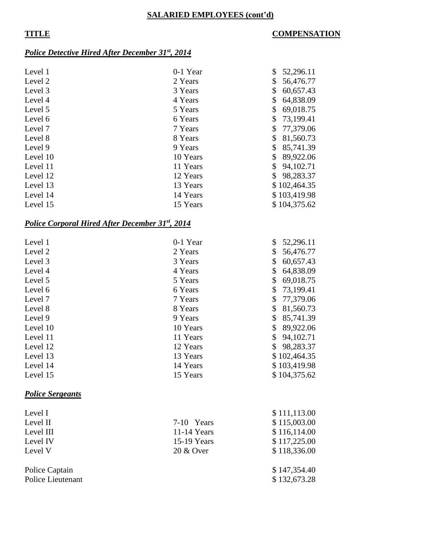#### **SALARIED EMPLOYEES (cont'd)**

### **TITLE COMPENSATION**

#### *Police Detective Hired After December 31st , 2014*

| Level 1  | 0-1 Year | \$ | 52,296.11    |
|----------|----------|----|--------------|
| Level 2  | 2 Years  | \$ | 56,476.77    |
| Level 3  | 3 Years  | \$ | 60,657.43    |
| Level 4  | 4 Years  | \$ | 64,838.09    |
| Level 5  | 5 Years  |    | 69,018.75    |
| Level 6  | 6 Years  | S. | 73,199.41    |
| Level 7  | 7 Years  | \$ | 77,379.06    |
| Level 8  | 8 Years  | \$ | 81,560.73    |
| Level 9  | 9 Years  |    | 85,741.39    |
| Level 10 | 10 Years | \$ | 89,922.06    |
| Level 11 | 11 Years | \$ | 94,102.71    |
| Level 12 | 12 Years | \$ | 98,283.37    |
| Level 13 | 13 Years |    | \$102,464.35 |
| Level 14 | 14 Years |    | \$103,419.98 |
| Level 15 | 15 Years |    | \$104,375.62 |

#### *Police Corporal Hired After December 31st, 2014*

| Level 1  | 0-1 Year | \$<br>52,296.11 |
|----------|----------|-----------------|
| Level 2  | 2 Years  | 56,476.77<br>\$ |
| Level 3  | 3 Years  | \$<br>60,657.43 |
| Level 4  | 4 Years  | 64,838.09<br>\$ |
| Level 5  | 5 Years  | \$<br>69,018.75 |
| Level 6  | 6 Years  | 73,199.41<br>\$ |
| Level 7  | 7 Years  | 77,379.06<br>\$ |
| Level 8  | 8 Years  | \$<br>81,560.73 |
| Level 9  | 9 Years  | \$<br>85,741.39 |
| Level 10 | 10 Years | \$<br>89,922.06 |
| Level 11 | 11 Years | 94,102.71<br>\$ |
| Level 12 | 12 Years | \$<br>98,283.37 |
| Level 13 | 13 Years | \$102,464.35    |
| Level 14 | 14 Years | \$103,419.98    |
| Level 15 | 15 Years | \$104,375.62    |

### *Police Sergeants*

| Level I           |               | \$111,113.00 |
|-------------------|---------------|--------------|
| Level II          | 7-10 Years    | \$115,003.00 |
| Level III         | $11-14$ Years | \$116,114.00 |
| Level IV          | 15-19 Years   | \$117,225.00 |
| Level V           | 20 & Over     | \$118,336.00 |
| Police Captain    |               | \$147,354.40 |
| Police Lieutenant |               | \$132,673.28 |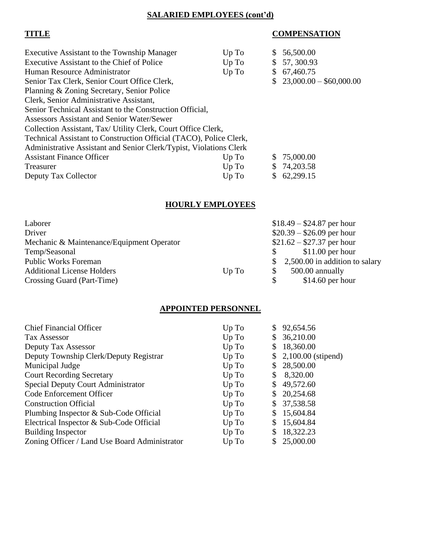#### **SALARIED EMPLOYEES (cont'd)**

### **TITLE COMPENSATION**

| Executive Assistant to the Township Manager                        | Up To | S. | 56,500.00                 |
|--------------------------------------------------------------------|-------|----|---------------------------|
| Executive Assistant to the Chief of Police                         | Up To |    | \$57,300.93               |
| Human Resource Administrator                                       | Up To |    | \$67,460.75               |
| Senior Tax Clerk, Senior Court Office Clerk,                       |       |    | $$23,000.00 - $60,000.00$ |
| Planning & Zoning Secretary, Senior Police                         |       |    |                           |
| Clerk, Senior Administrative Assistant,                            |       |    |                           |
| Senior Technical Assistant to the Construction Official,           |       |    |                           |
| <b>Assessors Assistant and Senior Water/Sewer</b>                  |       |    |                           |
| Collection Assistant, Tax/ Utility Clerk, Court Office Clerk,      |       |    |                           |
| Technical Assistant to Construction Official (TACO), Police Clerk, |       |    |                           |
| Administrative Assistant and Senior Clerk/Typist, Violations Clerk |       |    |                           |
| <b>Assistant Finance Officer</b>                                   | Up To |    | \$75,000.00               |
| Treasurer                                                          | Up To |    | \$74,203.58               |
| Deputy Tax Collector                                               | Up To | S. | 62,299.15                 |

# **HOURLY EMPLOYEES**

| Laborer                                   |       | $$18.49 - $24.87$ per hour                     |
|-------------------------------------------|-------|------------------------------------------------|
| Driver                                    |       | $$20.39 - $26.09$ per hour                     |
| Mechanic & Maintenance/Equipment Operator |       | $$21.62 - $27.37$ per hour                     |
| Temp/Seasonal                             |       | $$11.00$ per hour<br>S.                        |
| <b>Public Works Foreman</b>               |       | 2,500.00 in addition to salary<br>$\mathbb{S}$ |
| <b>Additional License Holders</b>         | Up To | 500.00 annually<br>\$                          |
| Crossing Guard (Part-Time)                |       | $$14.60$ per hour<br>\$                        |

### **APPOINTED PERSONNEL**

| <b>Chief Financial Officer</b>                | Up To | 92,654.56             |
|-----------------------------------------------|-------|-----------------------|
| <b>Tax Assessor</b>                           | Up To | 36,210.00             |
| Deputy Tax Assessor                           | Up To | \$<br>18,360.00       |
| Deputy Township Clerk/Deputy Registrar        | Up To | $$2,100.00$ (stipend) |
| Municipal Judge                               | Up To | 28,500.00             |
| <b>Court Recording Secretary</b>              | Up To | 8,320.00              |
| <b>Special Deputy Court Administrator</b>     | Up To | 49,572.60             |
| Code Enforcement Officer                      | Up To | 20,254.68             |
| <b>Construction Official</b>                  | Up To | 37,538.58             |
| Plumbing Inspector & Sub-Code Official        | Up To | 15,604.84             |
| Electrical Inspector & Sub-Code Official      | Up To | 15,604.84             |
| <b>Building Inspector</b>                     | Up To | 18,322.23             |
| Zoning Officer / Land Use Board Administrator | Up To | 25,000.00             |